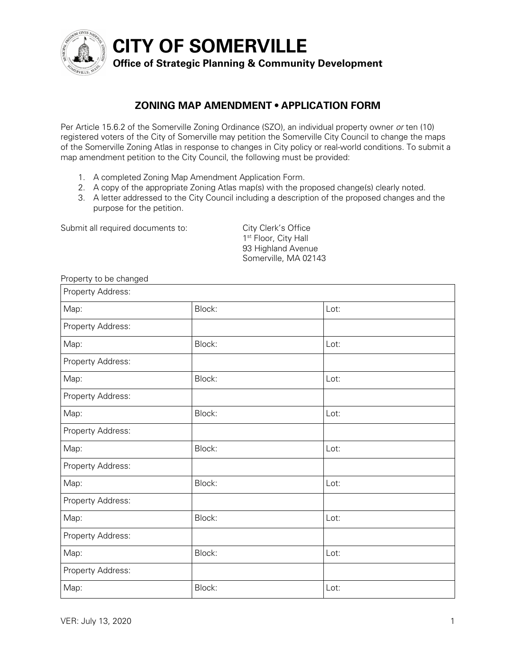

**CITY OF SOMERVILLE**

## **Office of Strategic Planning & Community Development**

## **ZONING MAP AMENDMENT • APPLICATION FORM**

Per Article 15.6.2 of the Somerville Zoning Ordinance (SZO), an individual property owner *or* ten (10) registered voters of the City of Somerville may petition the Somerville City Council to change the maps of the Somerville Zoning Atlas in response to changes in City policy or real-world conditions. To submit a map amendment petition to the City Council, the following must be provided:

- 1. A completed Zoning Map Amendment Application Form.
- 2. A copy of the appropriate Zoning Atlas map(s) with the proposed change(s) clearly noted.
- 3. A letter addressed to the City Council including a description of the proposed changes and the purpose for the petition.

Submit all required documents to: City Clerk's Office

1<sup>st</sup> Floor, City Hall 93 Highland Avenue Somerville, MA 02143

| Property to be changed |        |      |
|------------------------|--------|------|
| Property Address:      |        |      |
| Map:                   | Block: | Lot: |
| Property Address:      |        |      |
| Map:                   | Block: | Lot: |
| Property Address:      |        |      |
| Map:                   | Block: | Lot: |
| Property Address:      |        |      |
| Map:                   | Block: | Lot: |
| Property Address:      |        |      |
| Map:                   | Block: | Lot: |
| Property Address:      |        |      |
| Map:                   | Block: | Lot: |
| Property Address:      |        |      |
| Map:                   | Block: | Lot: |
| Property Address:      |        |      |
| Map:                   | Block: | Lot: |
| Property Address:      |        |      |
| Map:                   | Block: | Lot: |